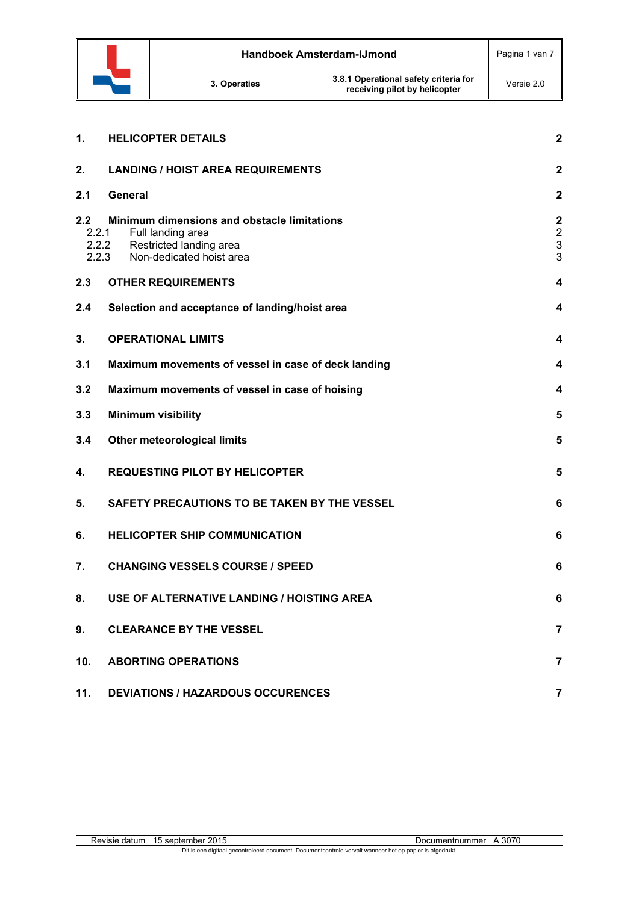

| 1.                    | <b>HELICOPTER DETAILS</b>                                                                                                        | $\overline{\mathbf{2}}$                                       |
|-----------------------|----------------------------------------------------------------------------------------------------------------------------------|---------------------------------------------------------------|
| 2.                    | <b>LANDING / HOIST AREA REQUIREMENTS</b>                                                                                         | $\mathbf{2}$                                                  |
| 2.1                   | <b>General</b>                                                                                                                   | $\mathbf 2$                                                   |
| 2.2<br>2.2.1<br>2.2.3 | Minimum dimensions and obstacle limitations<br>Full landing area<br>2.2.2<br>Restricted landing area<br>Non-dedicated hoist area | $\overline{\mathbf{c}}$<br>$\overline{2}$<br>$\mathsf 3$<br>3 |
| 2.3                   | <b>OTHER REQUIREMENTS</b>                                                                                                        | 4                                                             |
| 2.4                   | Selection and acceptance of landing/hoist area                                                                                   | 4                                                             |
| 3.                    | <b>OPERATIONAL LIMITS</b>                                                                                                        | 4                                                             |
| 3.1                   | Maximum movements of vessel in case of deck landing                                                                              | 4                                                             |
| 3.2                   | Maximum movements of vessel in case of hoising                                                                                   | 4                                                             |
| 3.3                   | <b>Minimum visibility</b>                                                                                                        | 5                                                             |
| 3.4                   | <b>Other meteorological limits</b>                                                                                               | 5                                                             |
| 4.                    | <b>REQUESTING PILOT BY HELICOPTER</b>                                                                                            | 5                                                             |
| 5.                    | SAFETY PRECAUTIONS TO BE TAKEN BY THE VESSEL                                                                                     | 6                                                             |
| 6.                    | <b>HELICOPTER SHIP COMMUNICATION</b>                                                                                             | 6                                                             |
| 7.                    | <b>CHANGING VESSELS COURSE / SPEED</b>                                                                                           | 6                                                             |
| 8.                    | USE OF ALTERNATIVE LANDING / HOISTING AREA                                                                                       | 6                                                             |
| 9.                    | <b>CLEARANCE BY THE VESSEL</b>                                                                                                   | $\overline{7}$                                                |
| 10.                   | <b>ABORTING OPERATIONS</b>                                                                                                       | $\overline{7}$                                                |
| 11.                   | <b>DEVIATIONS / HAZARDOUS OCCURENCES</b>                                                                                         | $\overline{7}$                                                |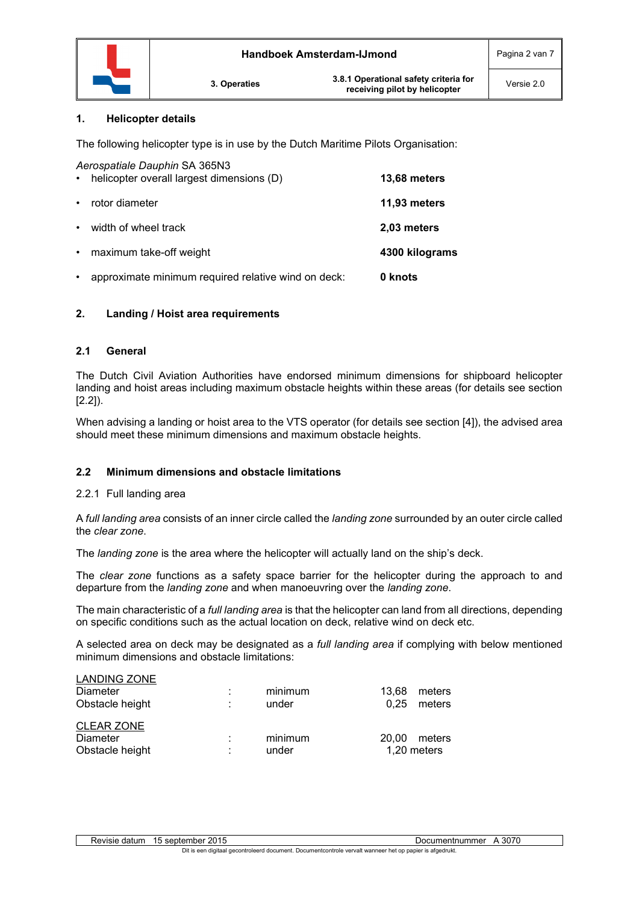

### **1. Helicopter details**

The following helicopter type is in use by the Dutch Maritime Pilots Organisation:

| $\bullet$ | Aerospatiale Dauphin SA 365N3<br>helicopter overall largest dimensions (D) | 13,68 meters   |
|-----------|----------------------------------------------------------------------------|----------------|
| $\bullet$ | rotor diameter                                                             | 11,93 meters   |
| $\bullet$ | width of wheel track                                                       | 2,03 meters    |
| $\bullet$ | maximum take-off weight                                                    | 4300 kilograms |
| $\bullet$ | approximate minimum required relative wind on deck:                        | 0 knots        |

## **2. Landing / Hoist area requirements**

## **2.1 General**

The Dutch Civil Aviation Authorities have endorsed minimum dimensions for shipboard helicopter landing and hoist areas including maximum obstacle heights within these areas (for details see section [2.2]).

When advising a landing or hoist area to the VTS operator (for details see section [4]), the advised area should meet these minimum dimensions and maximum obstacle heights.

## **2.2 Minimum dimensions and obstacle limitations**

## 2.2.1 Full landing area

A *full landing area* consists of an inner circle called the *landing zone* surrounded by an outer circle called the *clear zone*.

The *landing zone* is the area where the helicopter will actually land on the ship's deck.

The *clear zone* functions as a safety space barrier for the helicopter during the approach to and departure from the *landing zone* and when manoeuvring over the *landing zone*.

The main characteristic of a *full landing area* is that the helicopter can land from all directions, depending on specific conditions such as the actual location on deck, relative wind on deck etc.

A selected area on deck may be designated as a *full landing area* if complying with below mentioned minimum dimensions and obstacle limitations:

| <b>LANDING ZONE</b><br>Diameter<br>Obstacle height | ٠. | minimum<br>under | 13.68<br>0.25 | meters<br>meters      |
|----------------------------------------------------|----|------------------|---------------|-----------------------|
| <b>CLEAR ZONE</b><br>Diameter<br>Obstacle height   |    | minimum<br>under | 20.00         | meters<br>1.20 meters |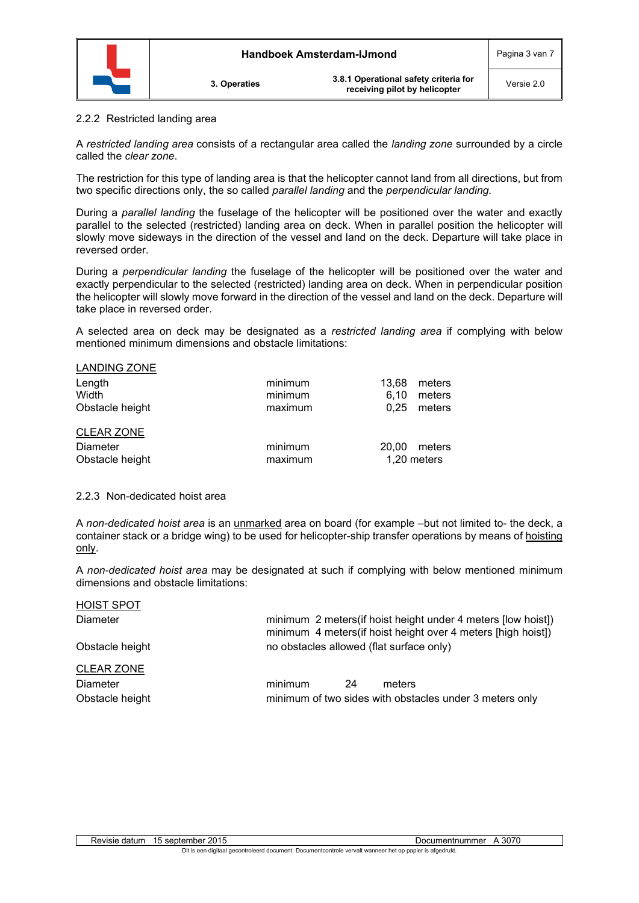

#### 2.2.2 Restricted landing area

A *restricted landing area* consists of a rectangular area called the *landing zone* surrounded by a circle called the *clear zone*.

The restriction for this type of landing area is that the helicopter cannot land from all directions, but from two specific directions only, the so called *parallel landing* and the *perpendicular landing.*

During a *parallel landing* the fuselage of the helicopter will be positioned over the water and exactly parallel to the selected (restricted) landing area on deck. When in parallel position the helicopter will slowly move sideways in the direction of the vessel and land on the deck. Departure will take place in reversed order.

During a *perpendicular landing* the fuselage of the helicopter will be positioned over the water and exactly perpendicular to the selected (restricted) landing area on deck. When in perpendicular position the helicopter will slowly move forward in the direction of the vessel and land on the deck. Departure will take place in reversed order.

A selected area on deck may be designated as a *restricted landing area* if complying with below mentioned minimum dimensions and obstacle limitations:

| <b>LANDING ZONE</b> |         |       |             |
|---------------------|---------|-------|-------------|
| Length              | minimum | 13.68 | meters      |
| Width               | minimum | 6.10  | meters      |
| Obstacle height     | maximum | 0.25  | meters      |
| <b>CLEAR ZONE</b>   |         |       |             |
| <b>Diameter</b>     | minimum | 20.00 | meters      |
| Obstacle height     | maximum |       | 1,20 meters |

#### 2.2.3 Non-dedicated hoist area

A *non-dedicated hoist area* is an unmarked area on board (for example –but not limited to- the deck, a container stack or a bridge wing) to be used for helicopter-ship transfer operations by means of hoisting only.

A *non-dedicated hoist area* may be designated at such if complying with below mentioned minimum dimensions and obstacle limitations:

| <b>HOIST SPOT</b> |                                          |    |                                                                                                                               |
|-------------------|------------------------------------------|----|-------------------------------------------------------------------------------------------------------------------------------|
| Diameter          |                                          |    | minimum 2 meters (if hoist height under 4 meters [low hoist])<br>minimum 4 meters(if hoist height over 4 meters [high hoist]) |
| Obstacle height   | no obstacles allowed (flat surface only) |    |                                                                                                                               |
| <b>CLEAR ZONE</b> |                                          |    |                                                                                                                               |
| Diameter          | minimum                                  | 24 | meters                                                                                                                        |
| Obstacle height   |                                          |    | minimum of two sides with obstacles under 3 meters only                                                                       |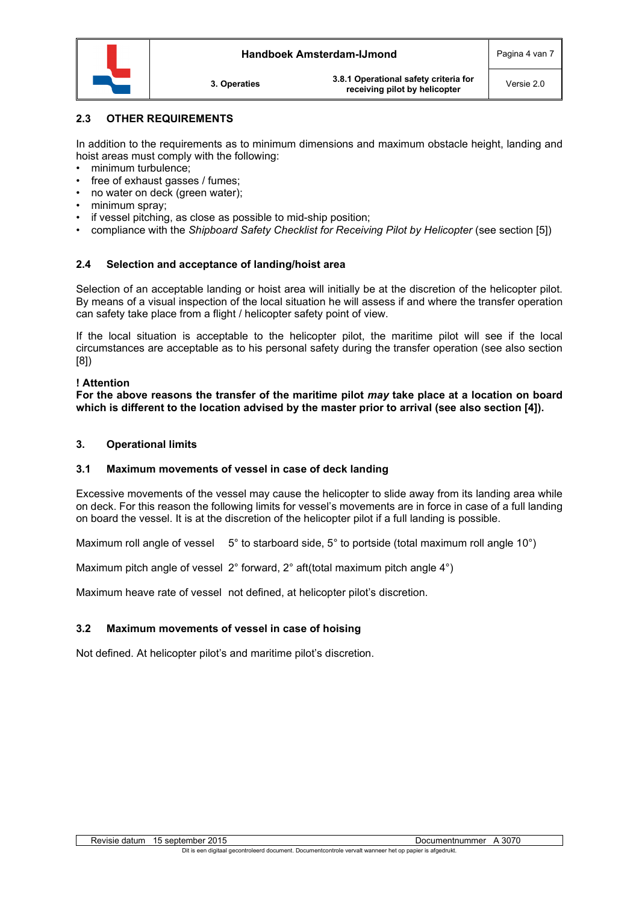

## **2.3 OTHER REQUIREMENTS**

In addition to the requirements as to minimum dimensions and maximum obstacle height, landing and hoist areas must comply with the following:

- minimum turbulence;
- free of exhaust gasses / fumes:
- no water on deck (green water);
- minimum spray;
- if vessel pitching, as close as possible to mid-ship position;
- compliance with the *Shipboard Safety Checklist for Receiving Pilot by Helicopter* (see section [5])

## **2.4 Selection and acceptance of landing/hoist area**

Selection of an acceptable landing or hoist area will initially be at the discretion of the helicopter pilot. By means of a visual inspection of the local situation he will assess if and where the transfer operation can safety take place from a flight / helicopter safety point of view.

If the local situation is acceptable to the helicopter pilot, the maritime pilot will see if the local circumstances are acceptable as to his personal safety during the transfer operation (see also section [8])

### **! Attention**

**For the above reasons the transfer of the maritime pilot** *may* **take place at a location on board which is different to the location advised by the master prior to arrival (see also section [4]).**

## **3. Operational limits**

## **3.1 Maximum movements of vessel in case of deck landing**

Excessive movements of the vessel may cause the helicopter to slide away from its landing area while on deck. For this reason the following limits for vessel's movements are in force in case of a full landing on board the vessel. It is at the discretion of the helicopter pilot if a full landing is possible.

Maximum roll angle of vessel  $5^\circ$  to starboard side,  $5^\circ$  to portside (total maximum roll angle 10°)

Maximum pitch angle of vessel 2° forward, 2° aft(total maximum pitch angle 4°)

Maximum heave rate of vessel not defined, at helicopter pilot's discretion.

# **3.2 Maximum movements of vessel in case of hoising**

Not defined. At helicopter pilot's and maritime pilot's discretion.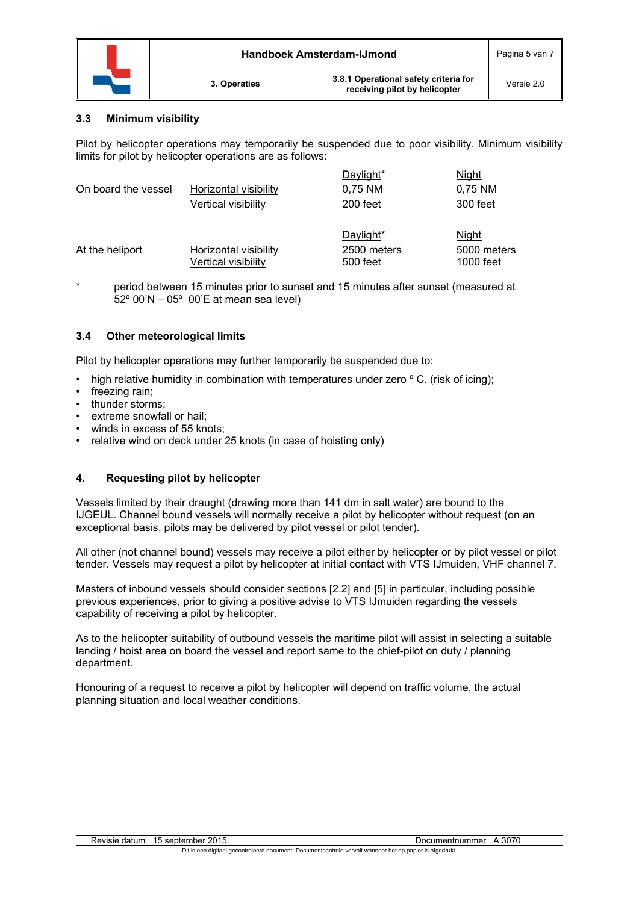

## **3.3 Minimum visibility**

Pilot by helicopter operations may temporarily be suspended due to poor visibility. Minimum visibility limits for pilot by helicopter operations are as follows:

| On board the vessel | Horizontal visibility<br>Vertical visibility        | Daylight*<br>0,75 NM<br>200 feet     | Night<br>0,75 NM<br>300 feet      |
|---------------------|-----------------------------------------------------|--------------------------------------|-----------------------------------|
| At the heliport     | <b>Horizontal visibility</b><br>Vertical visibility | Daylight*<br>2500 meters<br>500 feet | Night<br>5000 meters<br>1000 feet |

\* period between 15 minutes prior to sunset and 15 minutes after sunset (measured at 52º 00'N – 05º 00'E at mean sea level)

## **3.4 Other meteorological limits**

Pilot by helicopter operations may further temporarily be suspended due to:

- high relative humidity in combination with temperatures under zero  $\degree$  C. (risk of icing);
- freezing rain;
- thunder storms:
- extreme snowfall or hail:
- winds in excess of 55 knots;
- relative wind on deck under 25 knots (in case of hoisting only)

# **4. Requesting pilot by helicopter**

Vessels limited by their draught (drawing more than 141 dm in salt water) are bound to the IJGEUL. Channel bound vessels will normally receive a pilot by helicopter without request (on an exceptional basis, pilots may be delivered by pilot vessel or pilot tender).

All other (not channel bound) vessels may receive a pilot either by helicopter or by pilot vessel or pilot tender. Vessels may request a pilot by helicopter at initial contact with VTS IJmuiden, VHF channel 7.

Masters of inbound vessels should consider sections [2.2] and [5] in particular, including possible previous experiences, prior to giving a positive advise to VTS IJmuiden regarding the vessels capability of receiving a pilot by helicopter.

As to the helicopter suitability of outbound vessels the maritime pilot will assist in selecting a suitable landing / hoist area on board the vessel and report same to the chief-pilot on duty / planning department.

Honouring of a request to receive a pilot by helicopter will depend on traffic volume, the actual planning situation and local weather conditions.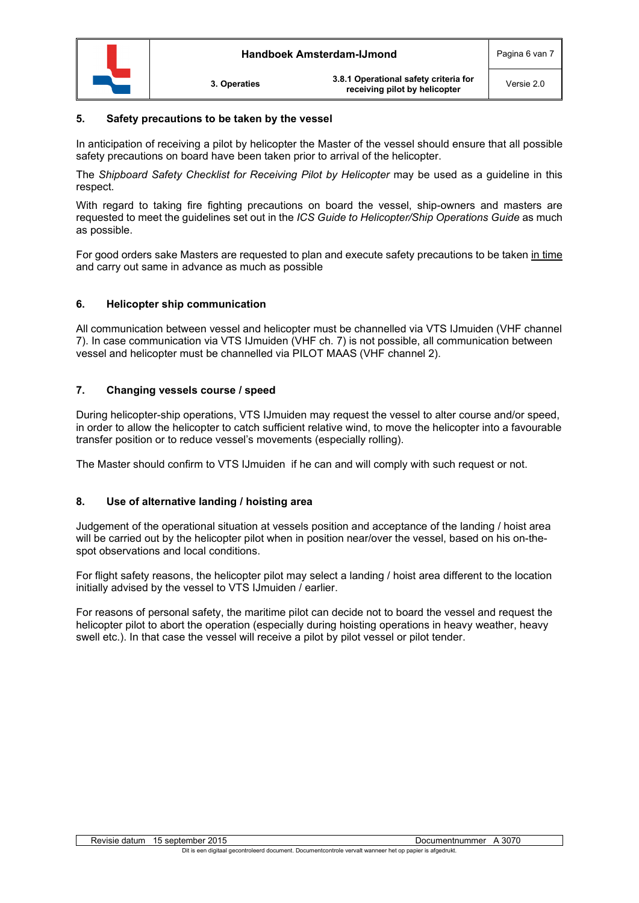

## **5. Safety precautions to be taken by the vessel**

In anticipation of receiving a pilot by helicopter the Master of the vessel should ensure that all possible safety precautions on board have been taken prior to arrival of the helicopter.

The *Shipboard Safety Checklist for Receiving Pilot by Helicopter* may be used as a guideline in this respect.

With regard to taking fire fighting precautions on board the vessel, ship-owners and masters are requested to meet the guidelines set out in the *ICS Guide to Helicopter/Ship Operations Guide* as much as possible.

For good orders sake Masters are requested to plan and execute safety precautions to be taken in time and carry out same in advance as much as possible

## **6. Helicopter ship communication**

All communication between vessel and helicopter must be channelled via VTS IJmuiden (VHF channel 7). In case communication via VTS IJmuiden (VHF ch. 7) is not possible, all communication between vessel and helicopter must be channelled via PILOT MAAS (VHF channel 2).

## **7. Changing vessels course / speed**

During helicopter-ship operations, VTS IJmuiden may request the vessel to alter course and/or speed, in order to allow the helicopter to catch sufficient relative wind, to move the helicopter into a favourable transfer position or to reduce vessel's movements (especially rolling).

The Master should confirm to VTS IJmuiden if he can and will comply with such request or not.

## **8. Use of alternative landing / hoisting area**

Judgement of the operational situation at vessels position and acceptance of the landing / hoist area will be carried out by the helicopter pilot when in position near/over the vessel, based on his on-thespot observations and local conditions.

For flight safety reasons, the helicopter pilot may select a landing / hoist area different to the location initially advised by the vessel to VTS IJmuiden / earlier.

For reasons of personal safety, the maritime pilot can decide not to board the vessel and request the helicopter pilot to abort the operation (especially during hoisting operations in heavy weather, heavy swell etc.). In that case the vessel will receive a pilot by pilot vessel or pilot tender.